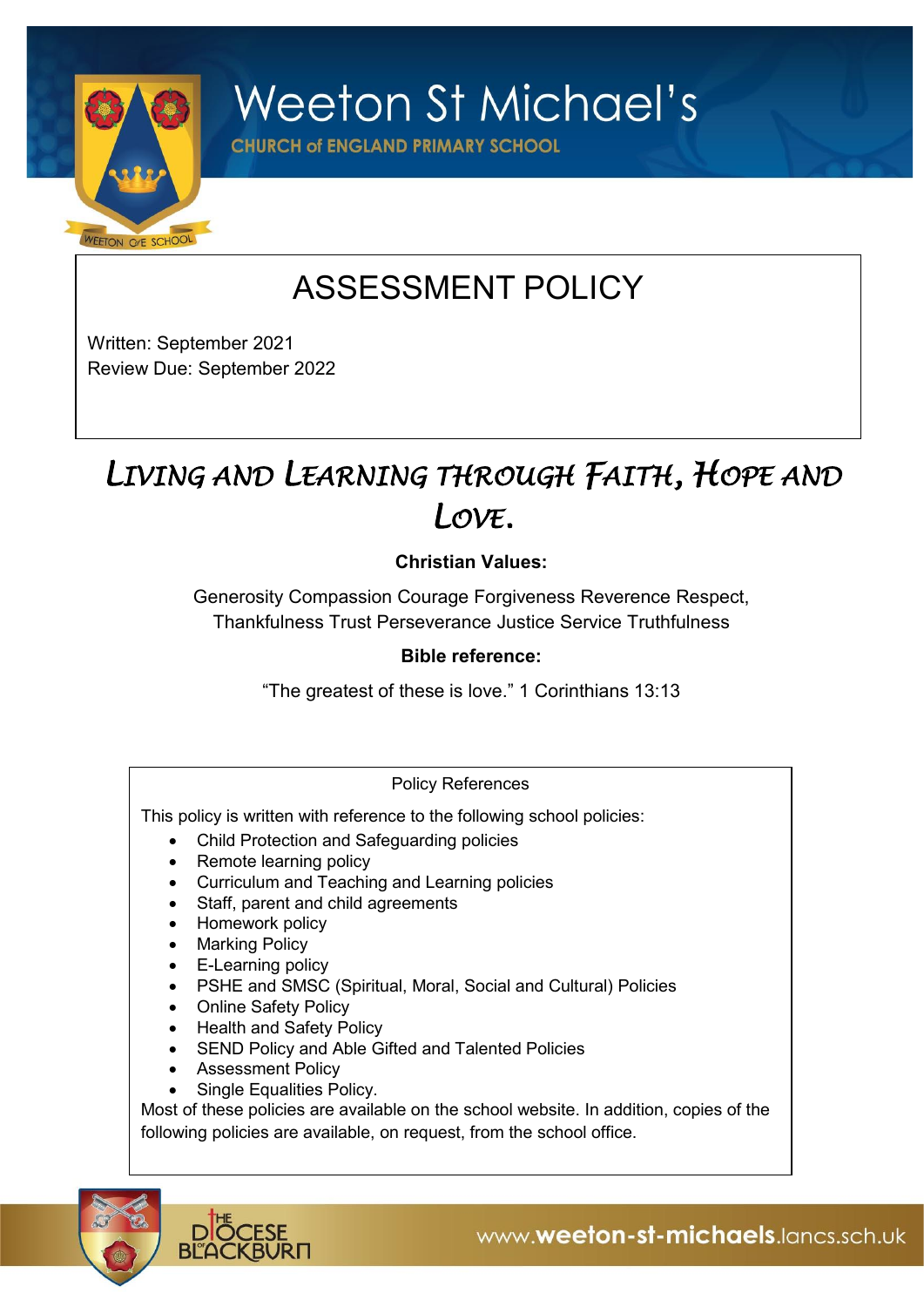

**Weeton St Michael's** 

**CHURCH of ENGLAND PRIMARY SCHOOL** 

# ASSESSMENT POLICY

Written: September 2021 Review Due: September 2022

# *LIVING AND LEARNING THROUGH FAITH, HOPE AND LOVE.*

# **Christian Values:**

Generosity Compassion Courage Forgiveness Reverence Respect, Thankfulness Trust Perseverance Justice Service Truthfulness

# **Bible reference:**

"The greatest of these is love." 1 Corinthians 13:13

# Policy References

This policy is written with reference to the following school policies:

- Child Protection and Safeguarding policies
- Remote learning policy
- Curriculum and Teaching and Learning policies
- Staff, parent and child agreements
- Homework policy
- Marking Policy
- E-Learning policy
- PSHE and SMSC (Spiritual, Moral, Social and Cultural) Policies
- Online Safety Policy
- Health and Safety Policy
- SEND Policy and Able Gifted and Talented Policies
- Assessment Policy
- Single Equalities Policy.

Most of these policies are available on the school website. In addition, copies of the following policies are available, on request, from the school office.

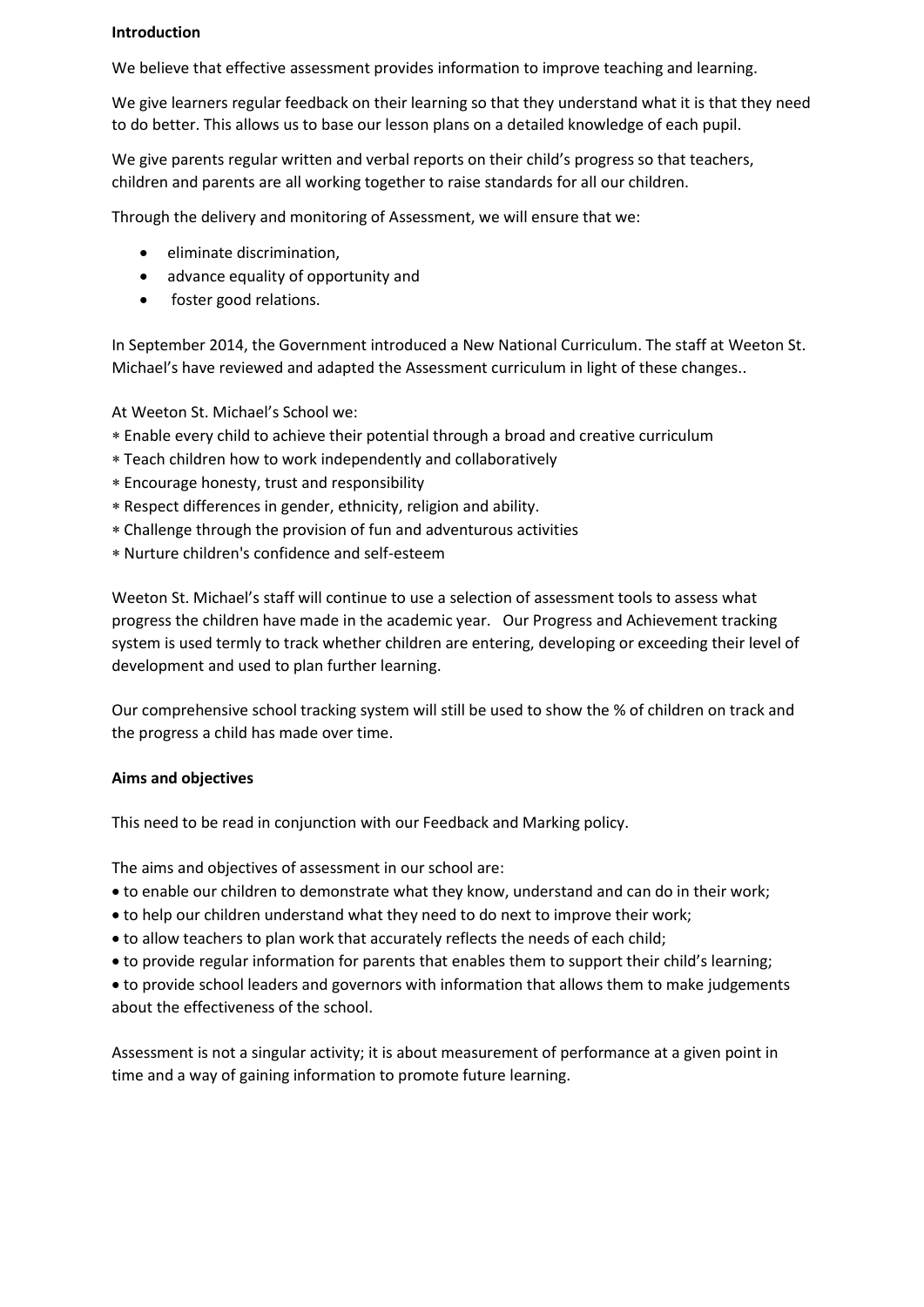### **Introduction**

We believe that effective assessment provides information to improve teaching and learning.

We give learners regular feedback on their learning so that they understand what it is that they need to do better. This allows us to base our lesson plans on a detailed knowledge of each pupil.

We give parents regular written and verbal reports on their child's progress so that teachers, children and parents are all working together to raise standards for all our children.

Through the delivery and monitoring of Assessment, we will ensure that we:

- eliminate discrimination,
- advance equality of opportunity and
- foster good relations.

In September 2014, the Government introduced a New National Curriculum. The staff at Weeton St. Michael's have reviewed and adapted the Assessment curriculum in light of these changes..

At Weeton St. Michael's School we:

- Enable every child to achieve their potential through a broad and creative curriculum
- Teach children how to work independently and collaboratively
- Encourage honesty, trust and responsibility
- Respect differences in gender, ethnicity, religion and ability.
- Challenge through the provision of fun and adventurous activities
- Nurture children's confidence and self-esteem

Weeton St. Michael's staff will continue to use a selection of assessment tools to assess what progress the children have made in the academic year. Our Progress and Achievement tracking system is used termly to track whether children are entering, developing or exceeding their level of development and used to plan further learning.

Our comprehensive school tracking system will still be used to show the % of children on track and the progress a child has made over time.

#### **Aims and objectives**

This need to be read in conjunction with our Feedback and Marking policy.

The aims and objectives of assessment in our school are:

- to enable our children to demonstrate what they know, understand and can do in their work;
- to help our children understand what they need to do next to improve their work;
- to allow teachers to plan work that accurately reflects the needs of each child;
- to provide regular information for parents that enables them to support their child's learning;
- to provide school leaders and governors with information that allows them to make judgements about the effectiveness of the school.

Assessment is not a singular activity; it is about measurement of performance at a given point in time and a way of gaining information to promote future learning.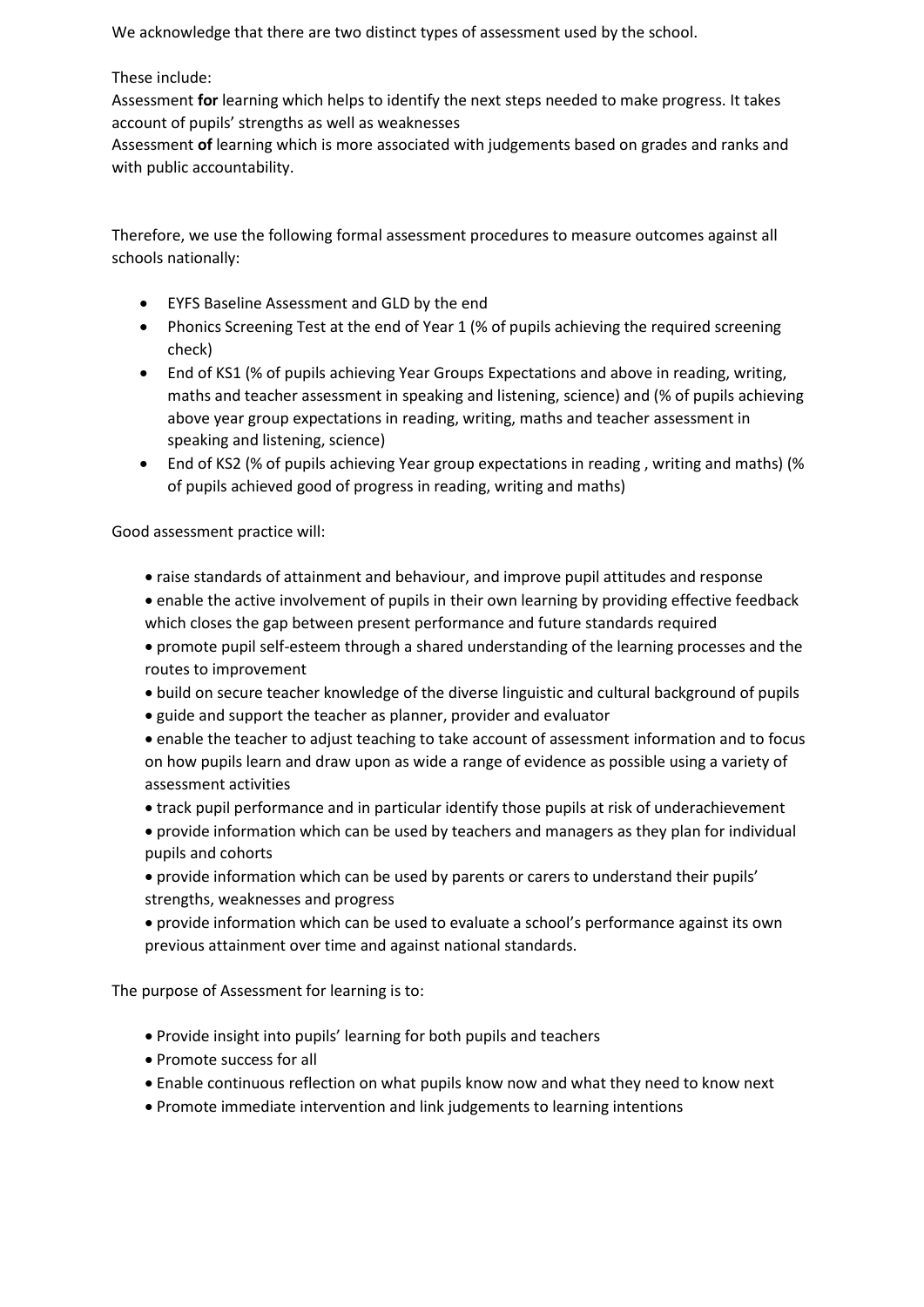We acknowledge that there are two distinct types of assessment used by the school.

# These include:

Assessment **for** learning which helps to identify the next steps needed to make progress. It takes account of pupils' strengths as well as weaknesses

Assessment **of** learning which is more associated with judgements based on grades and ranks and with public accountability.

Therefore, we use the following formal assessment procedures to measure outcomes against all schools nationally:

- EYFS Baseline Assessment and GLD by the end
- Phonics Screening Test at the end of Year 1 (% of pupils achieving the required screening check)
- End of KS1 (% of pupils achieving Year Groups Expectations and above in reading, writing, maths and teacher assessment in speaking and listening, science) and (% of pupils achieving above year group expectations in reading, writing, maths and teacher assessment in speaking and listening, science)
- End of KS2 (% of pupils achieving Year group expectations in reading , writing and maths) (% of pupils achieved good of progress in reading, writing and maths)

Good assessment practice will:

- raise standards of attainment and behaviour, and improve pupil attitudes and response
- enable the active involvement of pupils in their own learning by providing effective feedback which closes the gap between present performance and future standards required
- promote pupil self-esteem through a shared understanding of the learning processes and the routes to improvement
- build on secure teacher knowledge of the diverse linguistic and cultural background of pupils
- guide and support the teacher as planner, provider and evaluator
- enable the teacher to adjust teaching to take account of assessment information and to focus on how pupils learn and draw upon as wide a range of evidence as possible using a variety of assessment activities
- track pupil performance and in particular identify those pupils at risk of underachievement
- provide information which can be used by teachers and managers as they plan for individual pupils and cohorts
- provide information which can be used by parents or carers to understand their pupils' strengths, weaknesses and progress
- provide information which can be used to evaluate a school's performance against its own previous attainment over time and against national standards.

The purpose of Assessment for learning is to:

- Provide insight into pupils' learning for both pupils and teachers
- Promote success for all
- Enable continuous reflection on what pupils know now and what they need to know next
- Promote immediate intervention and link judgements to learning intentions